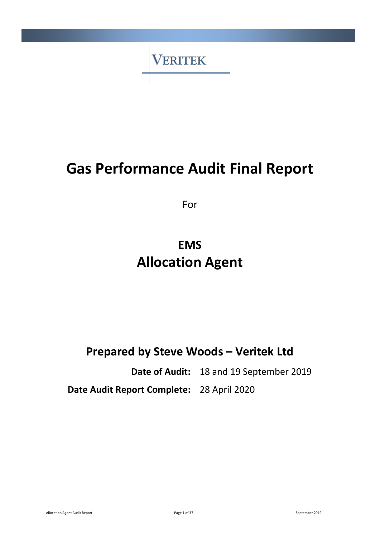

# **Gas Performance Audit Final Report**

For

# **EMS Allocation Agent**

## **Prepared by Steve Woods – Veritek Ltd**

**Date of Audit:** 18 and 19 September 2019

**Date Audit Report Complete:** 28 April 2020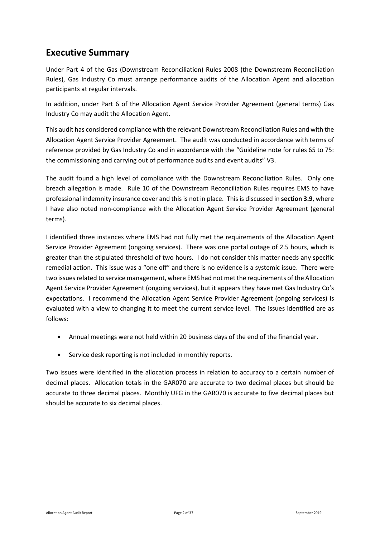### <span id="page-1-0"></span>**Executive Summary**

Under Part 4 of the Gas (Downstream Reconciliation) Rules 2008 (the Downstream Reconciliation Rules), Gas Industry Co must arrange performance audits of the Allocation Agent and allocation participants at regular intervals.

In addition, under Part 6 of the Allocation Agent Service Provider Agreement (general terms) Gas Industry Co may audit the Allocation Agent.

This audit has considered compliance with the relevant Downstream Reconciliation Rules and with the Allocation Agent Service Provider Agreement. The audit was conducted in accordance with terms of reference provided by Gas Industry Co and in accordance with the "Guideline note for rules 65 to 75: the commissioning and carrying out of performance audits and event audits" V3.

The audit found a high level of compliance with the Downstream Reconciliation Rules. Only one breach allegation is made. Rule 10 of the Downstream Reconciliation Rules requires EMS to have professional indemnity insurance cover and this is not in place. This is discussed in **section 3.9**, where I have also noted non-compliance with the Allocation Agent Service Provider Agreement (general terms).

I identified three instances where EMS had not fully met the requirements of the Allocation Agent Service Provider Agreement (ongoing services). There was one portal outage of 2.5 hours, which is greater than the stipulated threshold of two hours. I do not consider this matter needs any specific remedial action. This issue was a "one off" and there is no evidence is a systemic issue. There were two issues related to service management, where EMS had not met the requirements of the Allocation Agent Service Provider Agreement (ongoing services), but it appears they have met Gas Industry Co's expectations. I recommend the Allocation Agent Service Provider Agreement (ongoing services) is evaluated with a view to changing it to meet the current service level. The issues identified are as follows:

- Annual meetings were not held within 20 business days of the end of the financial year.
- Service desk reporting is not included in monthly reports.

Two issues were identified in the allocation process in relation to accuracy to a certain number of decimal places. Allocation totals in the GAR070 are accurate to two decimal places but should be accurate to three decimal places. Monthly UFG in the GAR070 is accurate to five decimal places but should be accurate to six decimal places.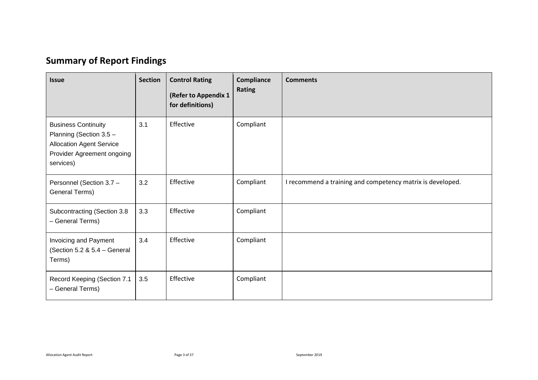## **Summary of Report Findings**

<span id="page-2-0"></span>

| <b>Issue</b>                                                                                                                        | <b>Section</b> | <b>Control Rating</b><br>(Refer to Appendix 1<br>for definitions) | Compliance<br><b>Rating</b> | <b>Comments</b>                                            |
|-------------------------------------------------------------------------------------------------------------------------------------|----------------|-------------------------------------------------------------------|-----------------------------|------------------------------------------------------------|
| <b>Business Continuity</b><br>Planning (Section 3.5 -<br><b>Allocation Agent Service</b><br>Provider Agreement ongoing<br>services) | 3.1            | Effective                                                         | Compliant                   |                                                            |
| Personnel (Section 3.7 -<br>General Terms)                                                                                          | 3.2            | Effective                                                         | Compliant                   | I recommend a training and competency matrix is developed. |
| Subcontracting (Section 3.8<br>- General Terms)                                                                                     | 3.3            | Effective                                                         | Compliant                   |                                                            |
| Invoicing and Payment<br>(Section 5.2 & 5.4 - General<br>Terms)                                                                     | 3.4            | Effective                                                         | Compliant                   |                                                            |
| Record Keeping (Section 7.1<br>- General Terms)                                                                                     | 3.5            | Effective                                                         | Compliant                   |                                                            |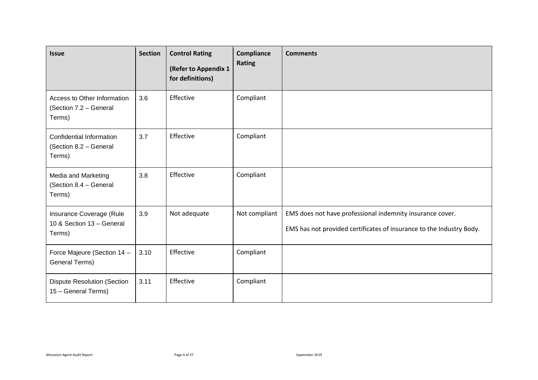| <b>Issue</b>                                                    | <b>Section</b> | <b>Control Rating</b><br>(Refer to Appendix 1<br>for definitions) | Compliance<br>Rating | <b>Comments</b>                                                                                                                   |
|-----------------------------------------------------------------|----------------|-------------------------------------------------------------------|----------------------|-----------------------------------------------------------------------------------------------------------------------------------|
| Access to Other Information<br>(Section 7.2 - General<br>Terms) | 3.6            | Effective                                                         | Compliant            |                                                                                                                                   |
| Confidential Information<br>(Section 8.2 - General<br>Terms)    | 3.7            | Effective                                                         | Compliant            |                                                                                                                                   |
| Media and Marketing<br>(Section 8.4 - General<br>Terms)         | 3.8            | Effective                                                         | Compliant            |                                                                                                                                   |
| Insurance Coverage (Rule<br>10 & Section 13 - General<br>Terms) | 3.9            | Not adequate                                                      | Not compliant        | EMS does not have professional indemnity insurance cover.<br>EMS has not provided certificates of insurance to the Industry Body. |
| Force Majeure (Section 14 -<br>General Terms)                   | 3.10           | Effective                                                         | Compliant            |                                                                                                                                   |
| <b>Dispute Resolution (Section</b><br>15 - General Terms)       | 3.11           | Effective                                                         | Compliant            |                                                                                                                                   |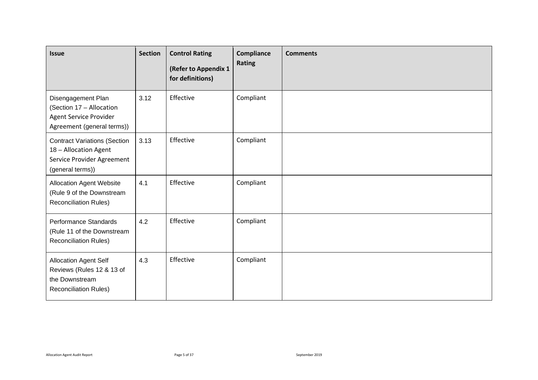| <b>Issue</b>                                                                                                   | <b>Section</b> | <b>Control Rating</b><br>(Refer to Appendix 1<br>for definitions) | Compliance<br>Rating | <b>Comments</b> |
|----------------------------------------------------------------------------------------------------------------|----------------|-------------------------------------------------------------------|----------------------|-----------------|
| Disengagement Plan<br>(Section 17 - Allocation<br>Agent Service Provider<br>Agreement (general terms))         | 3.12           | Effective                                                         | Compliant            |                 |
| <b>Contract Variations (Section</b><br>18 - Allocation Agent<br>Service Provider Agreement<br>(general terms)) | 3.13           | Effective                                                         | Compliant            |                 |
| <b>Allocation Agent Website</b><br>(Rule 9 of the Downstream<br><b>Reconciliation Rules)</b>                   | 4.1            | Effective                                                         | Compliant            |                 |
| Performance Standards<br>(Rule 11 of the Downstream<br><b>Reconciliation Rules)</b>                            | 4.2            | Effective                                                         | Compliant            |                 |
| Allocation Agent Self<br>Reviews (Rules 12 & 13 of<br>the Downstream<br><b>Reconciliation Rules)</b>           | 4.3            | Effective                                                         | Compliant            |                 |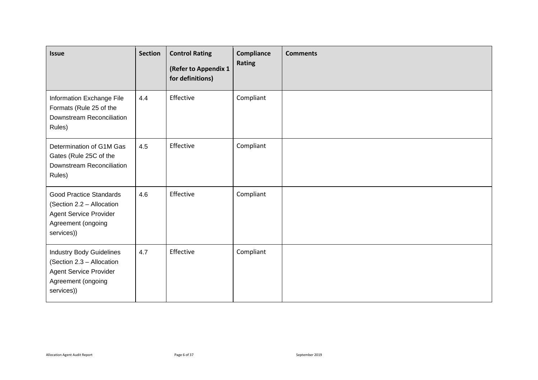| <b>Issue</b>                                                                                                                      | <b>Section</b> | <b>Control Rating</b><br>(Refer to Appendix 1<br>for definitions) | Compliance<br>Rating | <b>Comments</b> |
|-----------------------------------------------------------------------------------------------------------------------------------|----------------|-------------------------------------------------------------------|----------------------|-----------------|
| Information Exchange File<br>Formats (Rule 25 of the<br>Downstream Reconciliation<br>Rules)                                       | 4.4            | Effective                                                         | Compliant            |                 |
| Determination of G1M Gas<br>Gates (Rule 25C of the<br>Downstream Reconciliation<br>Rules)                                         | 4.5            | Effective                                                         | Compliant            |                 |
| <b>Good Practice Standards</b><br>(Section 2.2 - Allocation<br><b>Agent Service Provider</b><br>Agreement (ongoing<br>services))  | 4.6            | Effective                                                         | Compliant            |                 |
| <b>Industry Body Guidelines</b><br>(Section 2.3 - Allocation<br><b>Agent Service Provider</b><br>Agreement (ongoing<br>services)) | 4.7            | Effective                                                         | Compliant            |                 |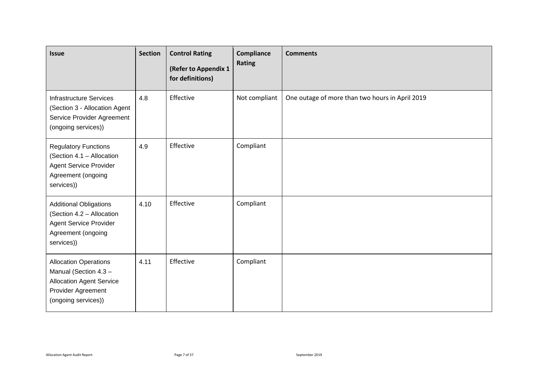| <b>Issue</b>                                                                                                                          | <b>Section</b> | <b>Control Rating</b><br>(Refer to Appendix 1<br>for definitions) | Compliance<br>Rating | <b>Comments</b>                                 |
|---------------------------------------------------------------------------------------------------------------------------------------|----------------|-------------------------------------------------------------------|----------------------|-------------------------------------------------|
| <b>Infrastructure Services</b><br>(Section 3 - Allocation Agent<br>Service Provider Agreement<br>(ongoing services))                  | 4.8            | Effective                                                         | Not compliant        | One outage of more than two hours in April 2019 |
| <b>Regulatory Functions</b><br>(Section 4.1 - Allocation<br>Agent Service Provider<br>Agreement (ongoing<br>services))                | 4.9            | Effective                                                         | Compliant            |                                                 |
| <b>Additional Obligations</b><br>(Section 4.2 - Allocation<br><b>Agent Service Provider</b><br>Agreement (ongoing<br>services))       | 4.10           | Effective                                                         | Compliant            |                                                 |
| <b>Allocation Operations</b><br>Manual (Section 4.3 -<br><b>Allocation Agent Service</b><br>Provider Agreement<br>(ongoing services)) | 4.11           | Effective                                                         | Compliant            |                                                 |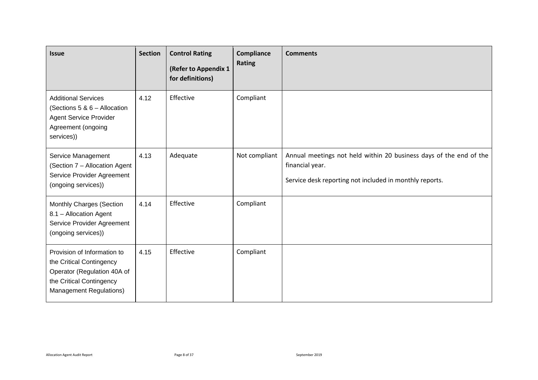| <b>Issue</b>                                                                                                                                         | <b>Section</b> | <b>Control Rating</b><br>(Refer to Appendix 1<br>for definitions) | Compliance<br>Rating | <b>Comments</b>                                                                                                                                  |
|------------------------------------------------------------------------------------------------------------------------------------------------------|----------------|-------------------------------------------------------------------|----------------------|--------------------------------------------------------------------------------------------------------------------------------------------------|
| <b>Additional Services</b><br>(Sections 5 & 6 - Allocation<br><b>Agent Service Provider</b><br>Agreement (ongoing<br>services))                      | 4.12           | Effective                                                         | Compliant            |                                                                                                                                                  |
| Service Management<br>(Section 7 - Allocation Agent<br>Service Provider Agreement<br>(ongoing services))                                             | 4.13           | Adequate                                                          | Not compliant        | Annual meetings not held within 20 business days of the end of the<br>financial year.<br>Service desk reporting not included in monthly reports. |
| Monthly Charges (Section<br>8.1 - Allocation Agent<br>Service Provider Agreement<br>(ongoing services))                                              | 4.14           | Effective                                                         | Compliant            |                                                                                                                                                  |
| Provision of Information to<br>the Critical Contingency<br>Operator (Regulation 40A of<br>the Critical Contingency<br><b>Management Regulations)</b> | 4.15           | Effective                                                         | Compliant            |                                                                                                                                                  |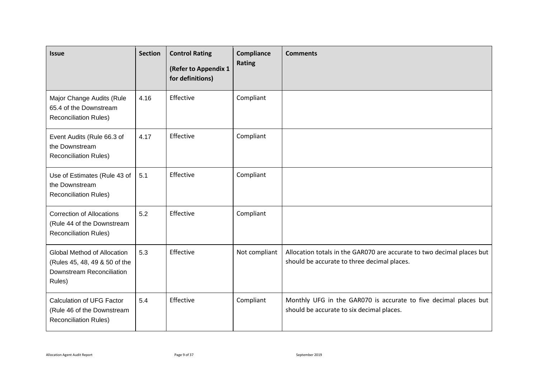| <b>Issue</b>                                                                                        | <b>Section</b> | <b>Control Rating</b><br>(Refer to Appendix 1<br>for definitions) | Compliance<br>Rating | <b>Comments</b>                                                                                                       |
|-----------------------------------------------------------------------------------------------------|----------------|-------------------------------------------------------------------|----------------------|-----------------------------------------------------------------------------------------------------------------------|
| Major Change Audits (Rule<br>65.4 of the Downstream<br><b>Reconciliation Rules)</b>                 | 4.16           | Effective                                                         | Compliant            |                                                                                                                       |
| Event Audits (Rule 66.3 of<br>the Downstream<br><b>Reconciliation Rules)</b>                        | 4.17           | Effective                                                         | Compliant            |                                                                                                                       |
| Use of Estimates (Rule 43 of<br>the Downstream<br><b>Reconciliation Rules)</b>                      | 5.1            | Effective                                                         | Compliant            |                                                                                                                       |
| <b>Correction of Allocations</b><br>(Rule 44 of the Downstream<br><b>Reconciliation Rules)</b>      | 5.2            | Effective                                                         | Compliant            |                                                                                                                       |
| Global Method of Allocation<br>(Rules 45, 48, 49 & 50 of the<br>Downstream Reconciliation<br>Rules) | 5.3            | Effective                                                         | Not compliant        | Allocation totals in the GAR070 are accurate to two decimal places but<br>should be accurate to three decimal places. |
| Calculation of UFG Factor<br>(Rule 46 of the Downstream<br><b>Reconciliation Rules)</b>             | 5.4            | Effective                                                         | Compliant            | Monthly UFG in the GAR070 is accurate to five decimal places but<br>should be accurate to six decimal places.         |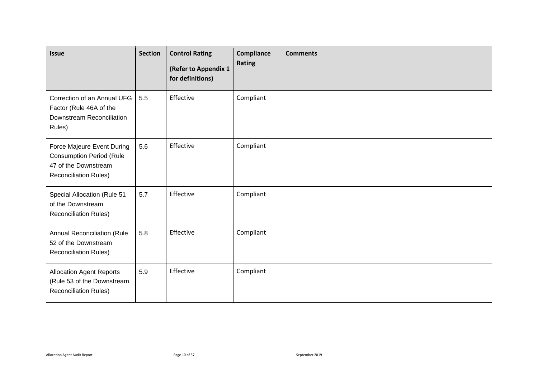| <b>Issue</b>                                                                                                          | <b>Section</b> | <b>Control Rating</b><br>(Refer to Appendix 1<br>for definitions) | Compliance<br>Rating | <b>Comments</b> |
|-----------------------------------------------------------------------------------------------------------------------|----------------|-------------------------------------------------------------------|----------------------|-----------------|
| Correction of an Annual UFG<br>Factor (Rule 46A of the<br>Downstream Reconciliation<br>Rules)                         | 5.5            | Effective                                                         | Compliant            |                 |
| Force Majeure Event During<br><b>Consumption Period (Rule</b><br>47 of the Downstream<br><b>Reconciliation Rules)</b> | 5.6            | Effective                                                         | Compliant            |                 |
| Special Allocation (Rule 51<br>of the Downstream<br><b>Reconciliation Rules)</b>                                      | 5.7            | Effective                                                         | Compliant            |                 |
| <b>Annual Reconciliation (Rule</b><br>52 of the Downstream<br>Reconciliation Rules)                                   | 5.8            | Effective                                                         | Compliant            |                 |
| <b>Allocation Agent Reports</b><br>(Rule 53 of the Downstream<br><b>Reconciliation Rules)</b>                         | 5.9            | Effective                                                         | Compliant            |                 |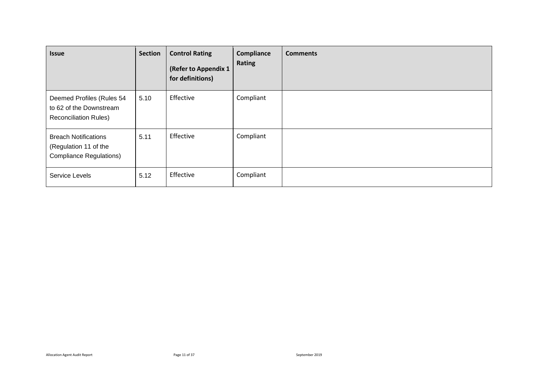| <b>Issue</b>                                                                           | <b>Section</b> | <b>Control Rating</b><br>(Refer to Appendix 1<br>for definitions) | Compliance<br>Rating | <b>Comments</b> |
|----------------------------------------------------------------------------------------|----------------|-------------------------------------------------------------------|----------------------|-----------------|
| Deemed Profiles (Rules 54<br>to 62 of the Downstream<br><b>Reconciliation Rules)</b>   | 5.10           | Effective                                                         | Compliant            |                 |
| <b>Breach Notifications</b><br>(Regulation 11 of the<br><b>Compliance Regulations)</b> | 5.11           | Effective                                                         | Compliant            |                 |
| Service Levels                                                                         | 5.12           | Effective                                                         | Compliant            |                 |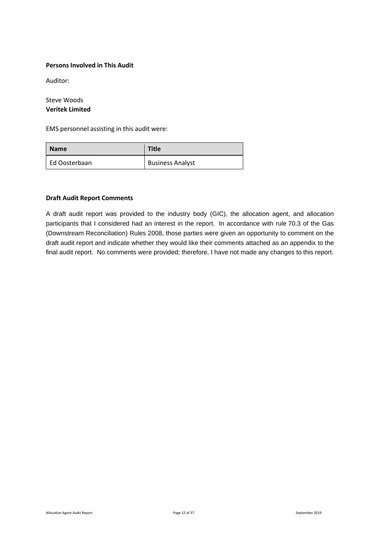#### <span id="page-11-0"></span>**Persons Involved in This Audit**

Auditor:

Steve Woods **Veritek Limited**

EMS personnel assisting in this audit were:

| <b>Name</b>   | <b>Title</b>            |
|---------------|-------------------------|
| Ed Oosterbaan | <b>Business Analyst</b> |

#### <span id="page-11-1"></span>**Draft Audit Report Comments**

A draft audit report was provided to the industry body (GIC), the allocation agent, and allocation participants that I considered had an interest in the report. In accordance with rule 70.3 of the Gas (Downstream Reconciliation) Rules 2008, those parties were given an opportunity to comment on the draft audit report and indicate whether they would like their comments attached as an appendix to the final audit report. No comments were provided; therefore, I have not made any changes to this report.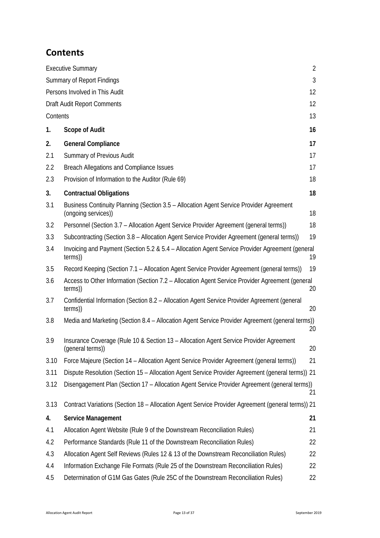### <span id="page-12-0"></span>**Contents**

|          | <b>Executive Summary</b>                                                                                       | $\overline{2}$ |
|----------|----------------------------------------------------------------------------------------------------------------|----------------|
|          | <b>Summary of Report Findings</b>                                                                              | 3              |
|          | Persons Involved in This Audit                                                                                 | 12             |
|          | <b>Draft Audit Report Comments</b>                                                                             | 12             |
| Contents |                                                                                                                | 13             |
| 1.       | <b>Scope of Audit</b>                                                                                          | 16             |
| 2.       | <b>General Compliance</b>                                                                                      | 17             |
| 2.1      | Summary of Previous Audit                                                                                      | 17             |
| 2.2      | Breach Allegations and Compliance Issues                                                                       | 17             |
| 2.3      | Provision of Information to the Auditor (Rule 69)                                                              | 18             |
| 3.       | <b>Contractual Obligations</b>                                                                                 | 18             |
| 3.1      | Business Continuity Planning (Section 3.5 - Allocation Agent Service Provider Agreement<br>(ongoing services)) | 18             |
| 3.2      | Personnel (Section 3.7 – Allocation Agent Service Provider Agreement (general terms))                          | 18             |
| 3.3      | Subcontracting (Section 3.8 – Allocation Agent Service Provider Agreement (general terms))                     | 19             |
| 3.4      | Invoicing and Payment (Section 5.2 & 5.4 - Allocation Agent Service Provider Agreement (general<br>terms))     | 19             |
| 3.5      | Record Keeping (Section 7.1 - Allocation Agent Service Provider Agreement (general terms))                     | 19             |
| 3.6      | Access to Other Information (Section 7.2 – Allocation Agent Service Provider Agreement (general<br>terms))     | 20             |
| 3.7      | Confidential Information (Section 8.2 - Allocation Agent Service Provider Agreement (general<br>terms))        | 20             |
| 3.8      | Media and Marketing (Section 8.4 – Allocation Agent Service Provider Agreement (general terms))                | 20             |
| 3.9      | Insurance Coverage (Rule 10 & Section 13 - Allocation Agent Service Provider Agreement<br>(general terms))     | 20             |
| 3.10     | Force Majeure (Section 14 – Allocation Agent Service Provider Agreement (general terms))                       | 21             |
| 3.11     | Dispute Resolution (Section 15 - Allocation Agent Service Provider Agreement (general terms)) 21               |                |
| 3.12     | Disengagement Plan (Section 17 - Allocation Agent Service Provider Agreement (general terms))                  | 21             |
| 3.13     | Contract Variations (Section 18 - Allocation Agent Service Provider Agreement (general terms)) 21              |                |
| 4.       | Service Management                                                                                             | 21             |
| 4.1      | Allocation Agent Website (Rule 9 of the Downstream Reconciliation Rules)                                       | 21             |
| 4.2      | Performance Standards (Rule 11 of the Downstream Reconciliation Rules)                                         | 22             |
| 4.3      | Allocation Agent Self Reviews (Rules 12 & 13 of the Downstream Reconciliation Rules)                           | 22             |
| 4.4      | Information Exchange File Formats (Rule 25 of the Downstream Reconciliation Rules)                             | 22             |
| 4.5      | Determination of G1M Gas Gates (Rule 25C of the Downstream Reconciliation Rules)                               | 22             |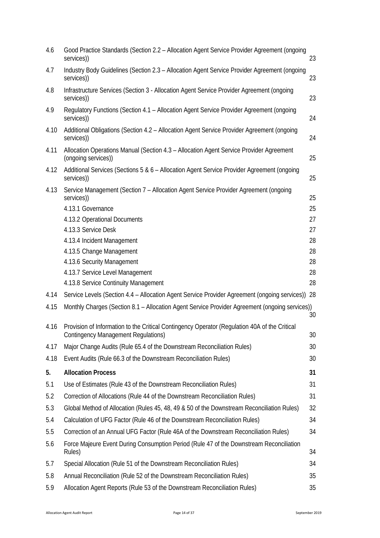| 4.6  | Good Practice Standards (Section 2.2 - Allocation Agent Service Provider Agreement (ongoing<br>services))                                   | 23       |
|------|---------------------------------------------------------------------------------------------------------------------------------------------|----------|
| 4.7  | Industry Body Guidelines (Section 2.3 - Allocation Agent Service Provider Agreement (ongoing<br>services))                                  | 23       |
| 4.8  | Infrastructure Services (Section 3 - Allocation Agent Service Provider Agreement (ongoing<br>services))                                     | 23       |
| 4.9  | Regulatory Functions (Section 4.1 - Allocation Agent Service Provider Agreement (ongoing<br>services))                                      | 24       |
| 4.10 | Additional Obligations (Section 4.2 - Allocation Agent Service Provider Agreement (ongoing<br>services))                                    | 24       |
| 4.11 | Allocation Operations Manual (Section 4.3 - Allocation Agent Service Provider Agreement<br>(ongoing services))                              | 25       |
| 4.12 | Additional Services (Sections 5 & 6 - Allocation Agent Service Provider Agreement (ongoing<br>services))                                    | 25       |
| 4.13 | Service Management (Section 7 - Allocation Agent Service Provider Agreement (ongoing<br>services))<br>4.13.1 Governance                     | 25<br>25 |
|      | 4.13.2 Operational Documents                                                                                                                | 27       |
|      | 4.13.3 Service Desk                                                                                                                         | 27       |
|      | 4.13.4 Incident Management                                                                                                                  | 28       |
|      | 4.13.5 Change Management                                                                                                                    | 28       |
|      | 4.13.6 Security Management                                                                                                                  | 28       |
|      | 4.13.7 Service Level Management                                                                                                             | 28       |
|      | 4.13.8 Service Continuity Management                                                                                                        | 28       |
| 4.14 | Service Levels (Section 4.4 - Allocation Agent Service Provider Agreement (ongoing services)) 28                                            |          |
| 4.15 | Monthly Charges (Section 8.1 - Allocation Agent Service Provider Agreement (ongoing services))                                              | 30       |
| 4.16 | Provision of Information to the Critical Contingency Operator (Regulation 40A of the Critical<br><b>Contingency Management Regulations)</b> | 30       |
| 4.17 | Major Change Audits (Rule 65.4 of the Downstream Reconciliation Rules)                                                                      | 30       |
| 4.18 | Event Audits (Rule 66.3 of the Downstream Reconciliation Rules)                                                                             | 30       |
| 5.   | <b>Allocation Process</b>                                                                                                                   | 31       |
| 5.1  | Use of Estimates (Rule 43 of the Downstream Reconciliation Rules)                                                                           | 31       |
| 5.2  | Correction of Allocations (Rule 44 of the Downstream Reconciliation Rules)                                                                  | 31       |
| 5.3  | Global Method of Allocation (Rules 45, 48, 49 & 50 of the Downstream Reconciliation Rules)                                                  | 32       |
| 5.4  | Calculation of UFG Factor (Rule 46 of the Downstream Reconciliation Rules)                                                                  | 34       |
| 5.5  | Correction of an Annual UFG Factor (Rule 46A of the Downstream Reconciliation Rules)                                                        | 34       |
| 5.6  | Force Majeure Event During Consumption Period (Rule 47 of the Downstream Reconciliation<br>Rules)                                           | 34       |
| 5.7  | Special Allocation (Rule 51 of the Downstream Reconciliation Rules)                                                                         | 34       |
| 5.8  | Annual Reconciliation (Rule 52 of the Downstream Reconciliation Rules)                                                                      | 35       |
| 5.9  | Allocation Agent Reports (Rule 53 of the Downstream Reconciliation Rules)                                                                   | 35       |
|      |                                                                                                                                             |          |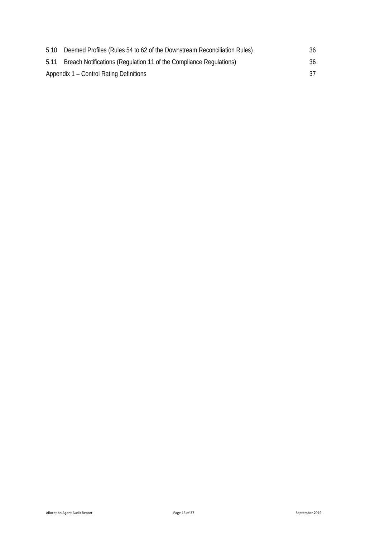| 5.10 | Deemed Profiles (Rules 54 to 62 of the Downstream Reconciliation Rules) | 36  |
|------|-------------------------------------------------------------------------|-----|
| 5.11 | Breach Notifications (Regulation 11 of the Compliance Regulations)      | 36  |
|      | Appendix 1 – Control Rating Definitions                                 | 37. |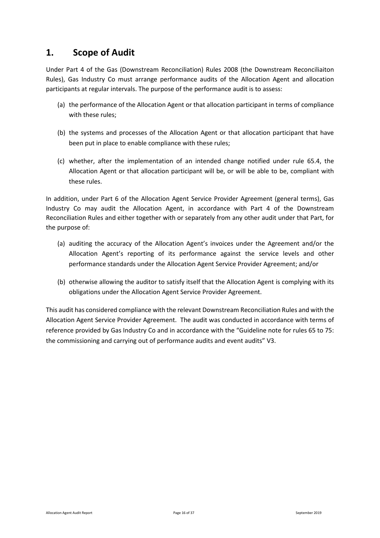#### <span id="page-15-0"></span>**1. Scope of Audit**

Under Part 4 of the Gas (Downstream Reconciliation) Rules 2008 (the Downstream Reconciliaiton Rules), Gas Industry Co must arrange performance audits of the Allocation Agent and allocation participants at regular intervals. The purpose of the performance audit is to assess:

- (a) the performance of the Allocation Agent or that allocation participant in terms of compliance with these rules;
- (b) the systems and processes of the Allocation Agent or that allocation participant that have been put in place to enable compliance with these rules;
- (c) whether, after the implementation of an intended change notified under rule 65.4, the Allocation Agent or that allocation participant will be, or will be able to be, compliant with these rules.

In addition, under Part 6 of the Allocation Agent Service Provider Agreement (general terms), Gas Industry Co may audit the Allocation Agent, in accordance with Part 4 of the Downstream Reconciliation Rules and either together with or separately from any other audit under that Part, for the purpose of:

- (a) auditing the accuracy of the Allocation Agent's invoices under the Agreement and/or the Allocation Agent's reporting of its performance against the service levels and other performance standards under the Allocation Agent Service Provider Agreement; and/or
- (b) otherwise allowing the auditor to satisfy itself that the Allocation Agent is complying with its obligations under the Allocation Agent Service Provider Agreement.

This audit has considered compliance with the relevant Downstream Reconciliation Rules and with the Allocation Agent Service Provider Agreement. The audit was conducted in accordance with terms of reference provided by Gas Industry Co and in accordance with the "Guideline note for rules 65 to 75: the commissioning and carrying out of performance audits and event audits" V3.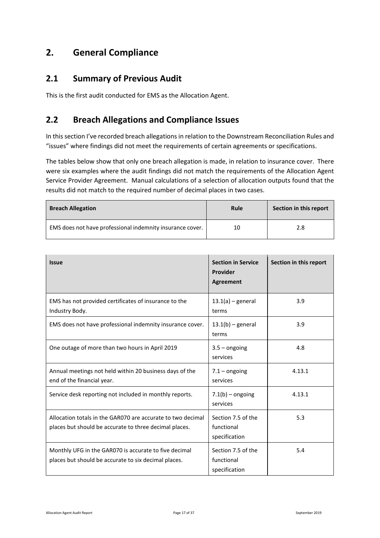### <span id="page-16-0"></span>**2. General Compliance**

#### <span id="page-16-1"></span>**2.1 Summary of Previous Audit**

This is the first audit conducted for EMS as the Allocation Agent.

#### <span id="page-16-2"></span>**2.2 Breach Allegations and Compliance Issues**

In this section I've recorded breach allegations in relation to the Downstream Reconciliation Rules and "issues" where findings did not meet the requirements of certain agreements or specifications.

The tables below show that only one breach allegation is made, in relation to insurance cover. There were six examples where the audit findings did not match the requirements of the Allocation Agent Service Provider Agreement. Manual calculations of a selection of allocation outputs found that the results did not match to the required number of decimal places in two cases.

| <b>Breach Allegation</b>                                  | Rule | Section in this report |
|-----------------------------------------------------------|------|------------------------|
| EMS does not have professional indemnity insurance cover. | 10   | 2.8                    |

| <b>Issue</b>                                                                                                          | <b>Section in Service</b><br>Provider<br><b>Agreement</b> | Section in this report |
|-----------------------------------------------------------------------------------------------------------------------|-----------------------------------------------------------|------------------------|
| EMS has not provided certificates of insurance to the<br>Industry Body.                                               | $13.1(a)$ – general<br>terms                              | 3.9                    |
| EMS does not have professional indemnity insurance cover.                                                             | $13.1(b)$ – general<br>terms                              | 3.9                    |
| One outage of more than two hours in April 2019                                                                       | $3.5 -$ ongoing<br>services                               | 4.8                    |
| Annual meetings not held within 20 business days of the<br>end of the financial year.                                 | $7.1 -$ ongoing<br>services                               | 4.13.1                 |
| Service desk reporting not included in monthly reports.                                                               | $7.1(b)$ – ongoing<br>services                            | 4.13.1                 |
| Allocation totals in the GAR070 are accurate to two decimal<br>places but should be accurate to three decimal places. | Section 7.5 of the<br>functional<br>specification         | 5.3                    |
| Monthly UFG in the GAR070 is accurate to five decimal<br>places but should be accurate to six decimal places.         | Section 7.5 of the<br>functional<br>specification         | 5.4                    |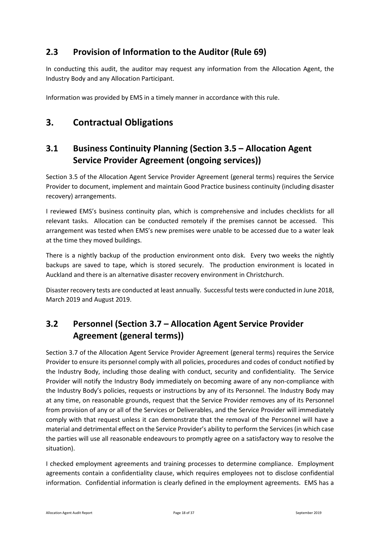### <span id="page-17-0"></span>**2.3 Provision of Information to the Auditor (Rule 69)**

In conducting this audit, the auditor may request any information from the Allocation Agent, the Industry Body and any Allocation Participant.

<span id="page-17-1"></span>Information was provided by EMS in a timely manner in accordance with this rule.

### **3. Contractual Obligations**

### <span id="page-17-2"></span>**3.1 Business Continuity Planning (Section 3.5 – Allocation Agent Service Provider Agreement (ongoing services))**

Section 3.5 of the Allocation Agent Service Provider Agreement (general terms) requires the Service Provider to document, implement and maintain Good Practice business continuity (including disaster recovery) arrangements.

I reviewed EMS's business continuity plan, which is comprehensive and includes checklists for all relevant tasks. Allocation can be conducted remotely if the premises cannot be accessed. This arrangement was tested when EMS's new premises were unable to be accessed due to a water leak at the time they moved buildings.

There is a nightly backup of the production environment onto disk. Every two weeks the nightly backups are saved to tape, which is stored securely. The production environment is located in Auckland and there is an alternative disaster recovery environment in Christchurch.

Disaster recovery tests are conducted at least annually. Successful tests were conducted in June 2018, March 2019 and August 2019.

### <span id="page-17-3"></span>**3.2 Personnel (Section 3.7 – Allocation Agent Service Provider Agreement (general terms))**

Section 3.7 of the Allocation Agent Service Provider Agreement (general terms) requires the Service Provider to ensure its personnel comply with all policies, procedures and codes of conduct notified by the Industry Body, including those dealing with conduct, security and confidentiality. The Service Provider will notify the Industry Body immediately on becoming aware of any non-compliance with the Industry Body's policies, requests or instructions by any of its Personnel. The Industry Body may at any time, on reasonable grounds, request that the Service Provider removes any of its Personnel from provision of any or all of the Services or Deliverables, and the Service Provider will immediately comply with that request unless it can demonstrate that the removal of the Personnel will have a material and detrimental effect on the Service Provider's ability to perform the Services (in which case the parties will use all reasonable endeavours to promptly agree on a satisfactory way to resolve the situation).

I checked employment agreements and training processes to determine compliance. Employment agreements contain a confidentiality clause, which requires employees not to disclose confidential information. Confidential information is clearly defined in the employment agreements. EMS has a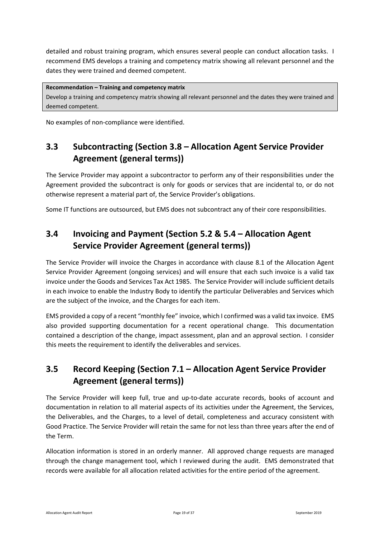detailed and robust training program, which ensures several people can conduct allocation tasks. I recommend EMS develops a training and competency matrix showing all relevant personnel and the dates they were trained and deemed competent.

#### **Recommendation – Training and competency matrix**

Develop a training and competency matrix showing all relevant personnel and the dates they were trained and deemed competent.

No examples of non-compliance were identified.

### <span id="page-18-0"></span>**3.3 Subcontracting (Section 3.8 – Allocation Agent Service Provider Agreement (general terms))**

The Service Provider may appoint a subcontractor to perform any of their responsibilities under the Agreement provided the subcontract is only for goods or services that are incidental to, or do not otherwise represent a material part of, the Service Provider's obligations.

Some IT functions are outsourced, but EMS does not subcontract any of their core responsibilities.

### <span id="page-18-1"></span>**3.4 Invoicing and Payment (Section 5.2 & 5.4 – Allocation Agent Service Provider Agreement (general terms))**

The Service Provider will invoice the Charges in accordance with clause 8.1 of the Allocation Agent Service Provider Agreement (ongoing services) and will ensure that each such invoice is a valid tax invoice under the Goods and Services Tax Act 1985. The Service Provider will include sufficient details in each invoice to enable the Industry Body to identify the particular Deliverables and Services which are the subject of the invoice, and the Charges for each item.

EMS provided a copy of a recent "monthly fee" invoice, which I confirmed was a valid tax invoice. EMS also provided supporting documentation for a recent operational change. This documentation contained a description of the change, impact assessment, plan and an approval section. I consider this meets the requirement to identify the deliverables and services.

### <span id="page-18-2"></span>**3.5 Record Keeping (Section 7.1 – Allocation Agent Service Provider Agreement (general terms))**

The Service Provider will keep full, true and up-to-date accurate records, books of account and documentation in relation to all material aspects of its activities under the Agreement, the Services, the Deliverables, and the Charges, to a level of detail, completeness and accuracy consistent with Good Practice. The Service Provider will retain the same for not less than three years after the end of the Term.

Allocation information is stored in an orderly manner. All approved change requests are managed through the change management tool, which I reviewed during the audit. EMS demonstrated that records were available for all allocation related activities for the entire period of the agreement.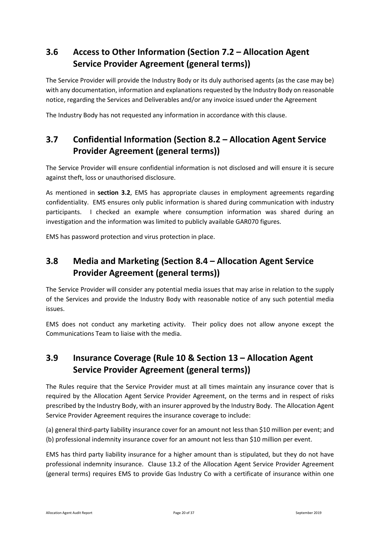### <span id="page-19-0"></span>**3.6 Access to Other Information (Section 7.2 – Allocation Agent Service Provider Agreement (general terms))**

The Service Provider will provide the Industry Body or its duly authorised agents (as the case may be) with any documentation, information and explanations requested by the Industry Body on reasonable notice, regarding the Services and Deliverables and/or any invoice issued under the Agreement

The Industry Body has not requested any information in accordance with this clause.

### <span id="page-19-1"></span>**3.7 Confidential Information (Section 8.2 – Allocation Agent Service Provider Agreement (general terms))**

The Service Provider will ensure confidential information is not disclosed and will ensure it is secure against theft, loss or unauthorised disclosure.

As mentioned in **section 3.2**, EMS has appropriate clauses in employment agreements regarding confidentiality. EMS ensures only public information is shared during communication with industry participants. I checked an example where consumption information was shared during an investigation and the information was limited to publicly available GAR070 figures.

EMS has password protection and virus protection in place.

### <span id="page-19-2"></span>**3.8 Media and Marketing (Section 8.4 – Allocation Agent Service Provider Agreement (general terms))**

The Service Provider will consider any potential media issues that may arise in relation to the supply of the Services and provide the Industry Body with reasonable notice of any such potential media issues.

EMS does not conduct any marketing activity. Their policy does not allow anyone except the Communications Team to liaise with the media.

### <span id="page-19-3"></span>**3.9 Insurance Coverage (Rule 10 & Section 13 – Allocation Agent Service Provider Agreement (general terms))**

The Rules require that the Service Provider must at all times maintain any insurance cover that is required by the Allocation Agent Service Provider Agreement, on the terms and in respect of risks prescribed by the Industry Body, with an insurer approved by the Industry Body. The Allocation Agent Service Provider Agreement requires the insurance coverage to include:

(a) general third-party liability insurance cover for an amount not less than \$10 million per event; and (b) professional indemnity insurance cover for an amount not less than \$10 million per event.

EMS has third party liability insurance for a higher amount than is stipulated, but they do not have professional indemnity insurance. Clause 13.2 of the Allocation Agent Service Provider Agreement (general terms) requires EMS to provide Gas Industry Co with a certificate of insurance within one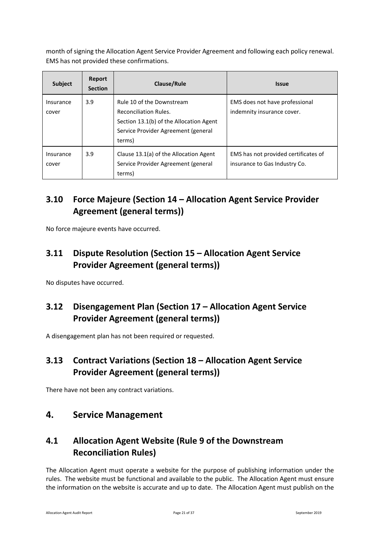month of signing the Allocation Agent Service Provider Agreement and following each policy renewal. EMS has not provided these confirmations.

| <b>Subject</b>     | Report<br><b>Section</b> | Clause/Rule                                                                                                                                           | <b>Issue</b>                                                          |
|--------------------|--------------------------|-------------------------------------------------------------------------------------------------------------------------------------------------------|-----------------------------------------------------------------------|
| Insurance<br>cover | 3.9                      | Rule 10 of the Downstream<br><b>Reconciliation Rules.</b><br>Section 13.1(b) of the Allocation Agent<br>Service Provider Agreement (general<br>terms) | EMS does not have professional<br>indemnity insurance cover.          |
| Insurance<br>cover | 3.9                      | Clause 13.1(a) of the Allocation Agent<br>Service Provider Agreement (general<br>terms)                                                               | EMS has not provided certificates of<br>insurance to Gas Industry Co. |

### <span id="page-20-0"></span>**3.10 Force Majeure (Section 14 – Allocation Agent Service Provider Agreement (general terms))**

<span id="page-20-1"></span>No force majeure events have occurred.

### **3.11 Dispute Resolution (Section 15 – Allocation Agent Service Provider Agreement (general terms))**

<span id="page-20-2"></span>No disputes have occurred.

### **3.12 Disengagement Plan (Section 17 – Allocation Agent Service Provider Agreement (general terms))**

<span id="page-20-3"></span>A disengagement plan has not been required or requested.

### **3.13 Contract Variations (Section 18 – Allocation Agent Service Provider Agreement (general terms))**

<span id="page-20-4"></span>There have not been any contract variations.

#### **4. Service Management**

### <span id="page-20-5"></span>**4.1 Allocation Agent Website (Rule 9 of the Downstream Reconciliation Rules)**

The Allocation Agent must operate a website for the purpose of publishing information under the rules. The website must be functional and available to the public. The Allocation Agent must ensure the information on the website is accurate and up to date. The Allocation Agent must publish on the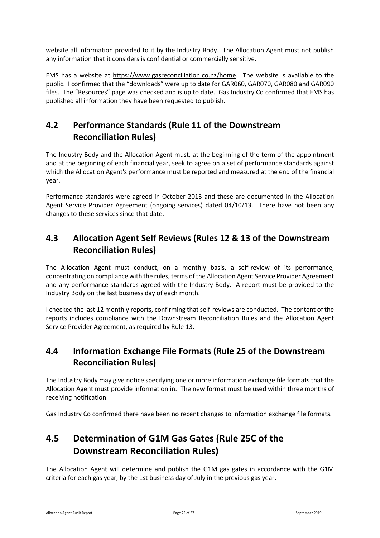website all information provided to it by the Industry Body. The Allocation Agent must not publish any information that it considers is confidential or commercially sensitive.

EMS has a website at [https://www.gasreconciliation.co.nz/home.](https://www.gasreconciliation.co.nz/home) The website is available to the public. I confirmed that the "downloads" were up to date for GAR060, GAR070, GAR080 and GAR090 files. The "Resources" page was checked and is up to date. Gas Industry Co confirmed that EMS has published all information they have been requested to publish.

### <span id="page-21-0"></span>**4.2 Performance Standards (Rule 11 of the Downstream Reconciliation Rules)**

The Industry Body and the Allocation Agent must, at the beginning of the term of the appointment and at the beginning of each financial year, seek to agree on a set of performance standards against which the Allocation Agent's performance must be reported and measured at the end of the financial year.

Performance standards were agreed in October 2013 and these are documented in the Allocation Agent Service Provider Agreement (ongoing services) dated 04/10/13. There have not been any changes to these services since that date.

### <span id="page-21-1"></span>**4.3 Allocation Agent Self Reviews (Rules 12 & 13 of the Downstream Reconciliation Rules)**

The Allocation Agent must conduct, on a monthly basis, a self-review of its performance, concentrating on compliance with the rules, terms of the Allocation Agent Service Provider Agreement and any performance standards agreed with the Industry Body. A report must be provided to the Industry Body on the last business day of each month.

I checked the last 12 monthly reports, confirming that self-reviews are conducted. The content of the reports includes compliance with the Downstream Reconciliation Rules and the Allocation Agent Service Provider Agreement, as required by Rule 13.

### <span id="page-21-2"></span>**4.4 Information Exchange File Formats (Rule 25 of the Downstream Reconciliation Rules)**

The Industry Body may give notice specifying one or more information exchange file formats that the Allocation Agent must provide information in. The new format must be used within three months of receiving notification.

<span id="page-21-3"></span>Gas Industry Co confirmed there have been no recent changes to information exchange file formats.

## **4.5 Determination of G1M Gas Gates (Rule 25C of the Downstream Reconciliation Rules)**

The Allocation Agent will determine and publish the G1M gas gates in accordance with the G1M criteria for each gas year, by the 1st business day of July in the previous gas year.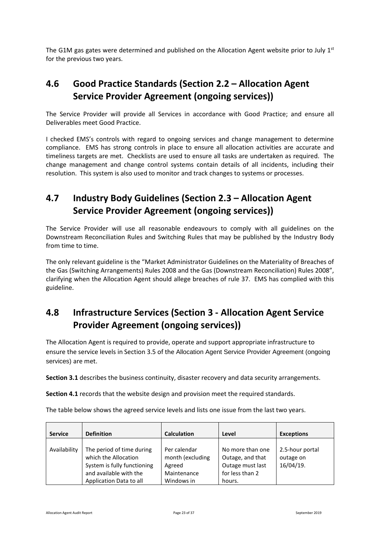The G1M gas gates were determined and published on the Allocation Agent website prior to July  $1<sup>st</sup>$ for the previous two years.

### <span id="page-22-0"></span>**4.6 Good Practice Standards (Section 2.2 – Allocation Agent Service Provider Agreement (ongoing services))**

The Service Provider will provide all Services in accordance with Good Practice; and ensure all Deliverables meet Good Practice.

I checked EMS's controls with regard to ongoing services and change management to determine compliance. EMS has strong controls in place to ensure all allocation activities are accurate and timeliness targets are met. Checklists are used to ensure all tasks are undertaken as required. The change management and change control systems contain details of all incidents, including their resolution. This system is also used to monitor and track changes to systems or processes.

### <span id="page-22-1"></span>**4.7 Industry Body Guidelines (Section 2.3 – Allocation Agent Service Provider Agreement (ongoing services))**

The Service Provider will use all reasonable endeavours to comply with all guidelines on the Downstream Reconciliation Rules and Switching Rules that may be published by the Industry Body from time to time.

The only relevant guideline is the "Market Administrator Guidelines on the Materiality of Breaches of the Gas (Switching Arrangements) Rules 2008 and the Gas (Downstream Reconciliation) Rules 2008", clarifying when the Allocation Agent should allege breaches of rule 37. EMS has complied with this guideline.

### <span id="page-22-2"></span>**4.8 Infrastructure Services (Section 3 - Allocation Agent Service Provider Agreement (ongoing services))**

The Allocation Agent is required to provide, operate and support appropriate infrastructure to ensure the service levels in Section 3.5 of the Allocation Agent Service Provider Agreement (ongoing services) are met.

**Section 3.1** describes the business continuity, disaster recovery and data security arrangements.

**Section 4.1** records that the website design and provision meet the required standards.

The table below shows the agreed service levels and lists one issue from the last two years.

| <b>Service</b> | <b>Definition</b>                                                                                                                     | <b>Calculation</b>                                                      | Level                                                                                 | <b>Exceptions</b>                         |
|----------------|---------------------------------------------------------------------------------------------------------------------------------------|-------------------------------------------------------------------------|---------------------------------------------------------------------------------------|-------------------------------------------|
| Availability   | The period of time during<br>which the Allocation<br>System is fully functioning<br>and available with the<br>Application Data to all | Per calendar<br>month (excluding<br>Agreed<br>Maintenance<br>Windows in | No more than one<br>Outage, and that<br>Outage must last<br>for less than 2<br>hours. | 2.5-hour portal<br>outage on<br>16/04/19. |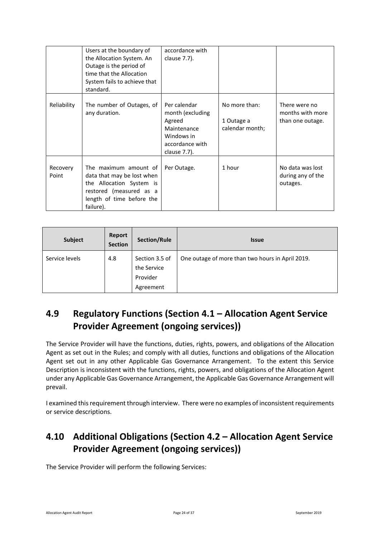|                   | Users at the boundary of<br>the Allocation System. An<br>Outage is the period of<br>time that the Allocation<br>System fails to achieve that<br>standard. | accordance with<br>clause 7.7).                                                                            |                                                |                                                       |
|-------------------|-----------------------------------------------------------------------------------------------------------------------------------------------------------|------------------------------------------------------------------------------------------------------------|------------------------------------------------|-------------------------------------------------------|
| Reliability       | The number of Outages, of<br>any duration.                                                                                                                | Per calendar<br>month (excluding<br>Agreed<br>Maintenance<br>Windows in<br>accordance with<br>clause 7.7). | No more than:<br>1 Outage a<br>calendar month; | There were no<br>months with more<br>than one outage. |
| Recovery<br>Point | The maximum amount of<br>data that may be lost when<br>the Allocation System is<br>restored (measured as a<br>length of time before the<br>failure).      | Per Outage.                                                                                                | 1 hour                                         | No data was lost<br>during any of the<br>outages.     |

| Subject        | Report<br><b>Section</b> | Section/Rule                                           | <b>Issue</b>                                     |
|----------------|--------------------------|--------------------------------------------------------|--------------------------------------------------|
| Service levels | 4.8                      | Section 3.5 of<br>the Service<br>Provider<br>Agreement | One outage of more than two hours in April 2019. |

## <span id="page-23-0"></span>**4.9 Regulatory Functions (Section 4.1 – Allocation Agent Service Provider Agreement (ongoing services))**

The Service Provider will have the functions, duties, rights, powers, and obligations of the Allocation Agent as set out in the Rules; and comply with all duties, functions and obligations of the Allocation Agent set out in any other Applicable Gas Governance Arrangement. To the extent this Service Description is inconsistent with the functions, rights, powers, and obligations of the Allocation Agent under any Applicable Gas Governance Arrangement, the Applicable Gas Governance Arrangement will prevail.

I examined this requirement through interview. There were no examples of inconsistent requirements or service descriptions.

## <span id="page-23-1"></span>**4.10 Additional Obligations (Section 4.2 – Allocation Agent Service Provider Agreement (ongoing services))**

The Service Provider will perform the following Services: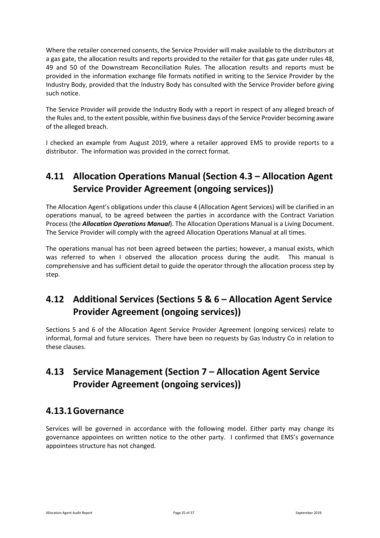Where the retailer concerned consents, the Service Provider will make available to the distributors at a gas gate, the allocation results and reports provided to the retailer for that gas gate under rules 48, 49 and 50 of the Downstream Reconciliation Rules. The allocation results and reports must be provided in the information exchange file formats notified in writing to the Service Provider by the Industry Body, provided that the Industry Body has consulted with the Service Provider before giving such notice.

The Service Provider will provide the Industry Body with a report in respect of any alleged breach of the Rules and, to the extent possible, within five business days of the Service Provider becoming aware of the alleged breach.

I checked an example from August 2019, where a retailer approved EMS to provide reports to a distributor. The information was provided in the correct format.

### <span id="page-24-0"></span>**4.11 Allocation Operations Manual (Section 4.3 – Allocation Agent Service Provider Agreement (ongoing services))**

The Allocation Agent's obligations under this clause 4 (Allocation Agent Services) will be clarified in an operations manual, to be agreed between the parties in accordance with the Contract Variation Process (the *Allocation Operations Manual*). The Allocation Operations Manual is a Living Document. The Service Provider will comply with the agreed Allocation Operations Manual at all times.

The operations manual has not been agreed between the parties; however, a manual exists, which was referred to when I observed the allocation process during the audit. This manual is comprehensive and has sufficient detail to guide the operator through the allocation process step by step.

## <span id="page-24-1"></span>**4.12 Additional Services (Sections 5 & 6 – Allocation Agent Service Provider Agreement (ongoing services))**

Sections 5 and 6 of the Allocation Agent Service Provider Agreement (ongoing services) relate to informal, formal and future services. There have been no requests by Gas Industry Co in relation to these clauses.

### <span id="page-24-2"></span>**4.13 Service Management (Section 7 – Allocation Agent Service Provider Agreement (ongoing services))**

### <span id="page-24-3"></span>**4.13.1Governance**

Services will be governed in accordance with the following model. Either party may change its governance appointees on written notice to the other party. I confirmed that EMS's governance appointees structure has not changed.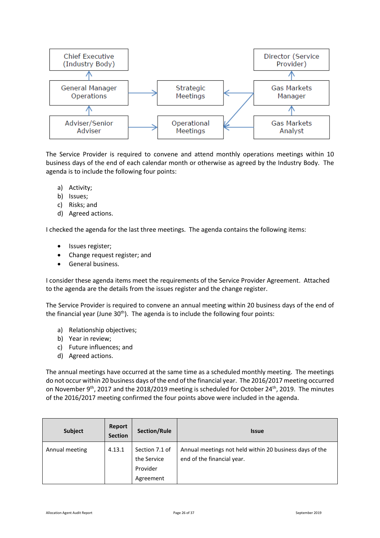

The Service Provider is required to convene and attend monthly operations meetings within 10 business days of the end of each calendar month or otherwise as agreed by the Industry Body. The agenda is to include the following four points:

- a) Activity;
- b) Issues;
- c) Risks; and
- d) Agreed actions.

I checked the agenda for the last three meetings. The agenda contains the following items:

- Issues register;
- Change request register; and
- General business.

I consider these agenda items meet the requirements of the Service Provider Agreement. Attached to the agenda are the details from the issues register and the change register.

The Service Provider is required to convene an annual meeting within 20 business days of the end of the financial year (June  $30<sup>th</sup>$ ). The agenda is to include the following four points:

- a) Relationship objectives;
- b) Year in review;
- c) Future influences; and
- d) Agreed actions.

The annual meetings have occurred at the same time as a scheduled monthly meeting. The meetings do not occur within 20 business days of the end of the financial year. The 2016/2017 meeting occurred on November 9th, 2017 and the 2018/2019 meeting is scheduled for October 24th, 2019. The minutes of the 2016/2017 meeting confirmed the four points above were included in the agenda.

| <b>Subject</b> | Report<br><b>Section</b> | Section/Rule                                           | <b>Issue</b>                                                                          |
|----------------|--------------------------|--------------------------------------------------------|---------------------------------------------------------------------------------------|
| Annual meeting | 4.13.1                   | Section 7.1 of<br>the Service<br>Provider<br>Agreement | Annual meetings not held within 20 business days of the<br>end of the financial year. |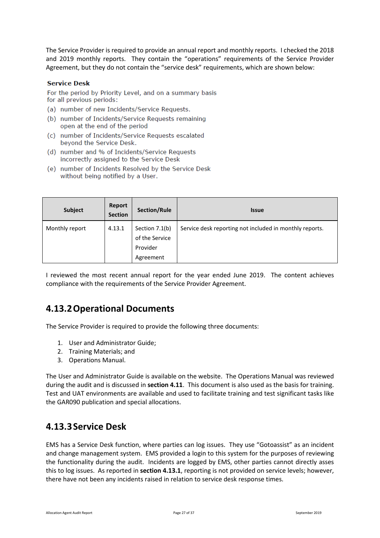The Service Provider is required to provide an annual report and monthly reports. I checked the 2018 and 2019 monthly reports. They contain the "operations" requirements of the Service Provider Agreement, but they do not contain the "service desk" requirements, which are shown below:

#### **Service Desk**

For the period by Priority Level, and on a summary basis for all previous periods:

- (a) number of new Incidents/Service Requests.
- (b) number of Incidents/Service Requests remaining open at the end of the period
- (c) number of Incidents/Service Requests escalated beyond the Service Desk.
- (d) number and % of Incidents/Service Requests incorrectly assigned to the Service Desk
- (e) number of Incidents Resolved by the Service Desk without being notified by a User.

| Subject        | Report<br><b>Section</b> | Section/Rule                                              | <b>Issue</b>                                            |
|----------------|--------------------------|-----------------------------------------------------------|---------------------------------------------------------|
| Monthly report | 4.13.1                   | Section 7.1(b)<br>of the Service<br>Provider<br>Agreement | Service desk reporting not included in monthly reports. |

I reviewed the most recent annual report for the year ended June 2019. The content achieves compliance with the requirements of the Service Provider Agreement.

### <span id="page-26-0"></span>**4.13.2Operational Documents**

The Service Provider is required to provide the following three documents:

- 1. User and Administrator Guide;
- 2. Training Materials; and
- 3. Operations Manual.

The User and Administrator Guide is available on the website. The Operations Manual was reviewed during the audit and is discussed in **section 4.11**. This document is also used as the basis for training. Test and UAT environments are available and used to facilitate training and test significant tasks like the GAR090 publication and special allocations.

#### <span id="page-26-1"></span>**4.13.3Service Desk**

EMS has a Service Desk function, where parties can log issues. They use "Gotoassist" as an incident and change management system. EMS provided a login to this system for the purposes of reviewing the functionality during the audit. Incidents are logged by EMS, other parties cannot directly asses this to log issues. As reported in **section 4.13.1**, reporting is not provided on service levels; however, there have not been any incidents raised in relation to service desk response times.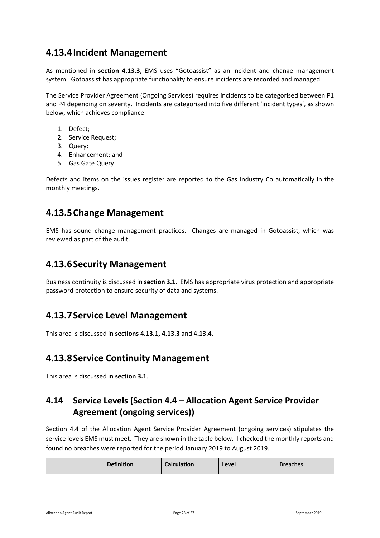### <span id="page-27-0"></span>**4.13.4Incident Management**

As mentioned in **section 4.13.3**, EMS uses "Gotoassist" as an incident and change management system. Gotoassist has appropriate functionality to ensure incidents are recorded and managed.

The Service Provider Agreement (Ongoing Services) requires incidents to be categorised between P1 and P4 depending on severity. Incidents are categorised into five different 'incident types', as shown below, which achieves compliance.

- 1. Defect;
- 2. Service Request;
- 3. Query;
- 4. Enhancement; and
- 5. Gas Gate Query

Defects and items on the issues register are reported to the Gas Industry Co automatically in the monthly meetings.

### <span id="page-27-1"></span>**4.13.5Change Management**

<span id="page-27-2"></span>EMS has sound change management practices. Changes are managed in Gotoassist, which was reviewed as part of the audit.

#### **4.13.6Security Management**

Business continuity is discussed in **section 3.1**. EMS has appropriate virus protection and appropriate password protection to ensure security of data and systems.

#### <span id="page-27-3"></span>**4.13.7Service Level Management**

<span id="page-27-4"></span>This area is discussed in **sections 4.13.1, 4.13.3** and 4**.13.4**.

#### **4.13.8Service Continuity Management**

<span id="page-27-5"></span>This area is discussed in **section 3.1**.

### **4.14 Service Levels (Section 4.4 – Allocation Agent Service Provider Agreement (ongoing services))**

Section 4.4 of the Allocation Agent Service Provider Agreement (ongoing services) stipulates the service levels EMS must meet. They are shown in the table below. I checked the monthly reports and found no breaches were reported for the period January 2019 to August 2019.

| <b>Definition</b> | <b>Calculation</b> | Level | <b>Breaches</b> |
|-------------------|--------------------|-------|-----------------|
|-------------------|--------------------|-------|-----------------|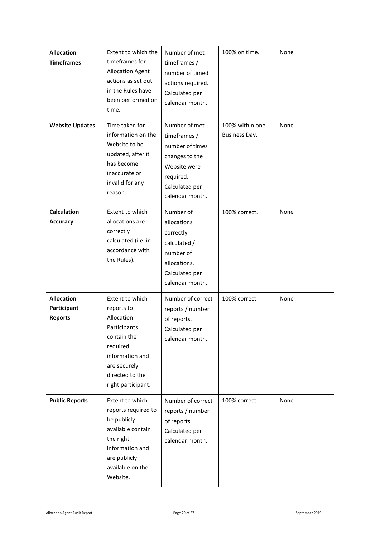| <b>Allocation</b><br><b>Timeframes</b>             | Extent to which the<br>timeframes for<br><b>Allocation Agent</b><br>actions as set out<br>in the Rules have<br>been performed on<br>time.                          | Number of met<br>timeframes /<br>number of timed<br>actions required.<br>Calculated per<br>calendar month.                           | 100% on time.                    | None |
|----------------------------------------------------|--------------------------------------------------------------------------------------------------------------------------------------------------------------------|--------------------------------------------------------------------------------------------------------------------------------------|----------------------------------|------|
| <b>Website Updates</b>                             | Time taken for<br>information on the<br>Website to be<br>updated, after it<br>has become<br>inaccurate or<br>invalid for any<br>reason.                            | Number of met<br>timeframes /<br>number of times<br>changes to the<br>Website were<br>required.<br>Calculated per<br>calendar month. | 100% within one<br>Business Day. | None |
| <b>Calculation</b><br><b>Accuracy</b>              | Extent to which<br>allocations are<br>correctly<br>calculated (i.e. in<br>accordance with<br>the Rules).                                                           | Number of<br>allocations<br>correctly<br>calculated /<br>number of<br>allocations.<br>Calculated per<br>calendar month.              | 100% correct.                    | None |
| <b>Allocation</b><br>Participant<br><b>Reports</b> | Extent to which<br>reports to<br>Allocation<br>Participants<br>contain the<br>required<br>information and<br>are securely<br>directed to the<br>right participant. | Number of correct<br>reports / number<br>of reports.<br>Calculated per<br>calendar month.                                            | 100% correct                     | None |
| <b>Public Reports</b>                              | Extent to which<br>reports required to<br>be publicly<br>available contain<br>the right<br>information and<br>are publicly<br>available on the<br>Website.         | Number of correct<br>reports / number<br>of reports.<br>Calculated per<br>calendar month.                                            | 100% correct                     | None |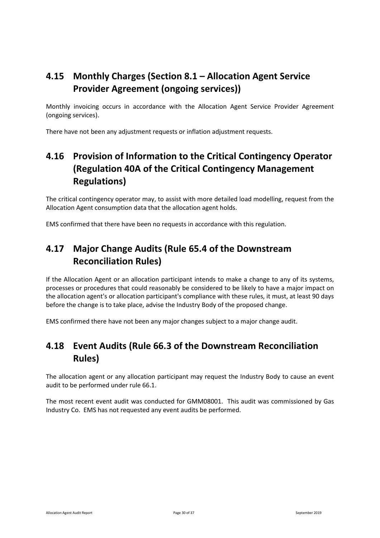### <span id="page-29-0"></span>**4.15 Monthly Charges (Section 8.1 – Allocation Agent Service Provider Agreement (ongoing services))**

Monthly invoicing occurs in accordance with the Allocation Agent Service Provider Agreement (ongoing services).

<span id="page-29-1"></span>There have not been any adjustment requests or inflation adjustment requests.

## **4.16 Provision of Information to the Critical Contingency Operator (Regulation 40A of the Critical Contingency Management Regulations)**

The critical contingency operator may, to assist with more detailed load modelling, request from the Allocation Agent consumption data that the allocation agent holds.

<span id="page-29-2"></span>EMS confirmed that there have been no requests in accordance with this regulation.

### **4.17 Major Change Audits (Rule 65.4 of the Downstream Reconciliation Rules)**

If the Allocation Agent or an allocation participant intends to make a change to any of its systems, processes or procedures that could reasonably be considered to be likely to have a major impact on the allocation agent's or allocation participant's compliance with these rules, it must, at least 90 days before the change is to take place, advise the Industry Body of the proposed change.

<span id="page-29-3"></span>EMS confirmed there have not been any major changes subject to a major change audit.

### **4.18 Event Audits (Rule 66.3 of the Downstream Reconciliation Rules)**

The allocation agent or any allocation participant may request the Industry Body to cause an event audit to be performed under rule 66.1.

The most recent event audit was conducted for GMM08001. This audit was commissioned by Gas Industry Co. EMS has not requested any event audits be performed.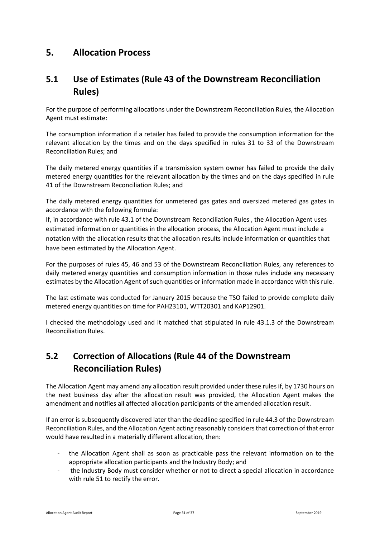### <span id="page-30-0"></span>**5. Allocation Process**

### <span id="page-30-1"></span>**5.1 Use of Estimates (Rule 43 of the Downstream Reconciliation Rules)**

For the purpose of performing allocations under the Downstream Reconciliation Rules, the Allocation Agent must estimate:

The consumption information if a retailer has failed to provide the consumption information for the relevant allocation by the times and on the days specified in rules 31 to 33 of the Downstream Reconciliation Rules; and

The daily metered energy quantities if a transmission system owner has failed to provide the daily metered energy quantities for the relevant allocation by the times and on the days specified in rule 41 of the Downstream Reconciliation Rules; and

The daily metered energy quantities for unmetered gas gates and oversized metered gas gates in accordance with the following formula:

If, in accordance with rule 43.1 of the Downstream Reconciliation Rules , the Allocation Agent uses estimated information or quantities in the allocation process, the Allocation Agent must include a notation with the allocation results that the allocation results include information or quantities that have been estimated by the Allocation Agent.

For the purposes of rules 45, 46 and 53 of the Downstream Reconciliation Rules, any references to daily metered energy quantities and consumption information in those rules include any necessary estimates by the Allocation Agent of such quantities or information made in accordance with this rule.

The last estimate was conducted for January 2015 because the TSO failed to provide complete daily metered energy quantities on time for PAH23101, WTT20301 and KAP12901.

I checked the methodology used and it matched that stipulated in rule 43.1.3 of the Downstream Reconciliation Rules.

### <span id="page-30-2"></span>**5.2 Correction of Allocations (Rule 44 of the Downstream Reconciliation Rules)**

The Allocation Agent may amend any allocation result provided under these rules if, by 1730 hours on the next business day after the allocation result was provided, the Allocation Agent makes the amendment and notifies all affected allocation participants of the amended allocation result.

If an error is subsequently discovered later than the deadline specified in rule 44.3 of the Downstream Reconciliation Rules, and the Allocation Agent acting reasonably considers that correction of that error would have resulted in a materially different allocation, then:

- the Allocation Agent shall as soon as practicable pass the relevant information on to the appropriate allocation participants and the Industry Body; and
- the Industry Body must consider whether or not to direct a special allocation in accordance with rule 51 to rectify the error.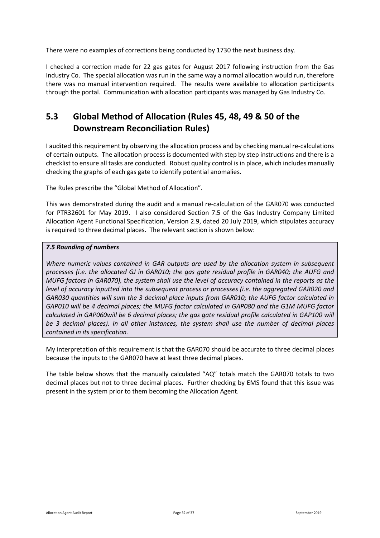There were no examples of corrections being conducted by 1730 the next business day.

I checked a correction made for 22 gas gates for August 2017 following instruction from the Gas Industry Co. The special allocation was run in the same way a normal allocation would run, therefore there was no manual intervention required. The results were available to allocation participants through the portal. Communication with allocation participants was managed by Gas Industry Co.

### <span id="page-31-0"></span>**5.3 Global Method of Allocation (Rules 45, 48, 49 & 50 of the Downstream Reconciliation Rules)**

I audited this requirement by observing the allocation process and by checking manual re-calculations of certain outputs. The allocation process is documented with step by step instructions and there is a checklist to ensure all tasks are conducted. Robust quality control is in place, which includes manually checking the graphs of each gas gate to identify potential anomalies.

The Rules prescribe the "Global Method of Allocation".

This was demonstrated during the audit and a manual re-calculation of the GAR070 was conducted for PTR32601 for May 2019. I also considered Section 7.5 of the Gas Industry Company Limited Allocation Agent Functional Specification, Version 2.9, dated 20 July 2019, which stipulates accuracy is required to three decimal places. The relevant section is shown below:

#### *7.5 Rounding of numbers*

*Where numeric values contained in GAR outputs are used by the allocation system in subsequent processes (i.e. the allocated GJ in GAR010; the gas gate residual profile in GAR040; the AUFG and MUFG factors in GAR070), the system shall use the level of accuracy contained in the reports as the level of accuracy inputted into the subsequent process or processes (i.e. the aggregated GAR020 and GAR030 quantities will sum the 3 decimal place inputs from GAR010; the AUFG factor calculated in GAP010 will be 4 decimal places; the MUFG factor calculated in GAP080 and the G1M MUFG factor calculated in GAP060will be 6 decimal places; the gas gate residual profile calculated in GAP100 will be 3 decimal places). In all other instances, the system shall use the number of decimal places contained in its specification.*

My interpretation of this requirement is that the GAR070 should be accurate to three decimal places because the inputs to the GAR070 have at least three decimal places.

The table below shows that the manually calculated "AQ" totals match the GAR070 totals to two decimal places but not to three decimal places. Further checking by EMS found that this issue was present in the system prior to them becoming the Allocation Agent.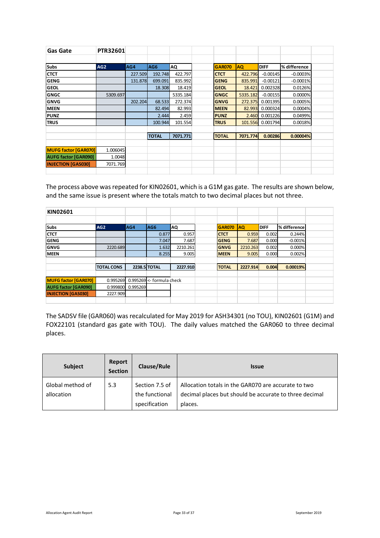| Gas Gate                    | <b>PTR32601</b> |         |              |          |               |           |                  |              |
|-----------------------------|-----------------|---------|--------------|----------|---------------|-----------|------------------|--------------|
|                             |                 |         |              |          |               |           |                  |              |
| <b>Subs</b>                 | AG <sub>2</sub> | AG4     | AG6          | ΑQ       | <b>GAR070</b> | <b>AQ</b> | <b>DIFF</b>      | % difference |
| <b>CTCT</b>                 |                 | 227.509 | 192.748      | 422.797  | <b>CTCT</b>   | 422.796   | $-0.00145$       | $-0.0003%$   |
| <b>GENG</b>                 |                 | 131.878 | 699.091      | 835.992  | <b>GENG</b>   | 835.991   | $-0.00121$       | $-0.0001%$   |
| <b>GEOL</b>                 |                 |         | 18.308       | 18.419   | <b>GEOL</b>   | 18.421    | 0.002328         | 0.0126%      |
| <b>GNGC</b>                 | 5309.697        |         |              | 5335.184 | <b>GNGC</b>   | 5335.182  | $-0.00155$       | 0.0000%      |
| <b>GNVG</b>                 |                 | 202.204 | 68.533       | 272.374  | <b>GNVG</b>   | 272.375   | 0.001395         | 0.0005%      |
| <b>MEEN</b>                 |                 |         | 82.494       | 82.993   | <b>MEEN</b>   | 82.993    | 0.000324         | 0.0004%      |
| <b>PUNZ</b>                 |                 |         | 2.444        | 2.459    | <b>PUNZ</b>   | 2.460     | 0.001226         | 0.0499%      |
| <b>TRUS</b>                 |                 |         | 100.944      | 101.554  | <b>TRUS</b>   |           | 101.556 0.001794 | 0.0018%      |
|                             |                 |         |              |          |               |           |                  |              |
|                             |                 |         | <b>TOTAL</b> | 7071.771 | <b>TOTAL</b>  | 7071.774  | 0.00286          | 0.00004%     |
|                             |                 |         |              |          |               |           |                  |              |
| <b>MUFG factor [GAR070]</b> | 1.006045        |         |              |          |               |           |                  |              |
| <b>AUFG factor [GAR090]</b> | 1.0048          |         |              |          |               |           |                  |              |
| <b>INJECTION [GAS030]</b>   | 7071.769        |         |              |          |               |           |                  |              |
|                             |                 |         |              |          |               |           |                  |              |

The process above was repeated for KIN02601, which is a G1M gas gate. The results are shown below, and the same issue is present where the totals match to two decimal places but not three.

| KIN02601                    |                   |          |                           |          |               |            |             |              |
|-----------------------------|-------------------|----------|---------------------------|----------|---------------|------------|-------------|--------------|
|                             |                   |          |                           |          |               |            |             |              |
| <b>Subs</b>                 | AG <sub>2</sub>   | AG4      | AG <sub>6</sub>           | AQ       | <b>GAR070</b> | <b>IAQ</b> | <b>DIFF</b> | % difference |
| <b>CTCT</b>                 |                   |          | 0.877                     | 0.957    | <b>CTCT</b>   | 0.959      | 0.002       | 0.244%       |
| GENG                        |                   |          | 7.047                     | 7.687    | <b>GENG</b>   | 7.687      | 0.000       | $-0.001%$    |
| GNVG                        | 2220.689          |          | 1.632                     | 2210.261 | <b>GNVG</b>   | 2210.263   | 0.002       | 0.000%       |
| <b>IMEEN</b>                |                   |          | 8.255                     | 9.005    | <b>MEEN</b>   | 9.005      | 0.000       | 0.002%       |
|                             |                   |          |                           |          |               |            |             |              |
|                             | <b>TOTAL CONS</b> |          | 2238.5 TOTAL              | 2227.910 | <b>TOTAL</b>  | 2227.914   | 0.004       | 0.00019%     |
|                             |                   |          |                           |          |               |            |             |              |
| <b>MUFG factor [GAR070]</b> | 0.995269          |          | 0.995269 <- formula check |          |               |            |             |              |
| <b>AUFG factor [GAR090]</b> | 0.999800          | 0.995269 |                           |          |               |            |             |              |
| <b>INJECTION [GAS030]</b>   | 2227.909          |          |                           |          |               |            |             |              |
|                             |                   |          |                           |          |               |            |             |              |

The SADSV file (GAR060) was recalculated for May 2019 for ASH34301 (no TOU), KIN02601 (G1M) and FOX22101 (standard gas gate with TOU). The daily values matched the GAR060 to three decimal places.

| <b>Subject</b>                 | Report<br><b>Section</b> | Clause/Rule                                       | <b>Issue</b>                                                                                                             |
|--------------------------------|--------------------------|---------------------------------------------------|--------------------------------------------------------------------------------------------------------------------------|
| Global method of<br>allocation | 5.3                      | Section 7.5 of<br>the functional<br>specification | Allocation totals in the GAR070 are accurate to two<br>decimal places but should be accurate to three decimal<br>places. |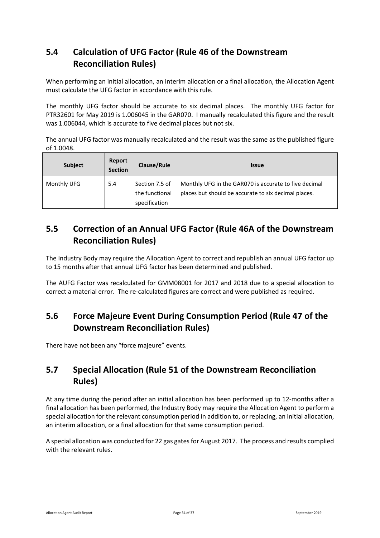### <span id="page-33-0"></span>**5.4 Calculation of UFG Factor (Rule 46 of the Downstream Reconciliation Rules)**

When performing an initial allocation, an interim allocation or a final allocation, the Allocation Agent must calculate the UFG factor in accordance with this rule.

The monthly UFG factor should be accurate to six decimal places. The monthly UFG factor for PTR32601 for May 2019 is 1.006045 in the GAR070. I manually recalculated this figure and the result was 1.006044, which is accurate to five decimal places but not six.

The annual UFG factor was manually recalculated and the result was the same as the published figure of 1.0048.

| <b>Subject</b> | Report<br><b>Section</b> | <b>Clause/Rule</b>               | <b>Issue</b>                                                                                                  |
|----------------|--------------------------|----------------------------------|---------------------------------------------------------------------------------------------------------------|
| Monthly UFG    | 5.4                      | Section 7.5 of<br>the functional | Monthly UFG in the GAR070 is accurate to five decimal<br>places but should be accurate to six decimal places. |
|                |                          | specification                    |                                                                                                               |

### <span id="page-33-1"></span>**5.5 Correction of an Annual UFG Factor (Rule 46A of the Downstream Reconciliation Rules)**

The Industry Body may require the Allocation Agent to correct and republish an annual UFG factor up to 15 months after that annual UFG factor has been determined and published.

The AUFG Factor was recalculated for GMM08001 for 2017 and 2018 due to a special allocation to correct a material error. The re-calculated figures are correct and were published as required.

### <span id="page-33-2"></span>**5.6 Force Majeure Event During Consumption Period (Rule 47 of the Downstream Reconciliation Rules)**

<span id="page-33-3"></span>There have not been any "force majeure" events.

### **5.7 Special Allocation (Rule 51 of the Downstream Reconciliation Rules)**

At any time during the period after an initial allocation has been performed up to 12-months after a final allocation has been performed, the Industry Body may require the Allocation Agent to perform a special allocation for the relevant consumption period in addition to, or replacing, an initial allocation, an interim allocation, or a final allocation for that same consumption period.

A special allocation was conducted for 22 gas gates for August 2017. The process and results complied with the relevant rules.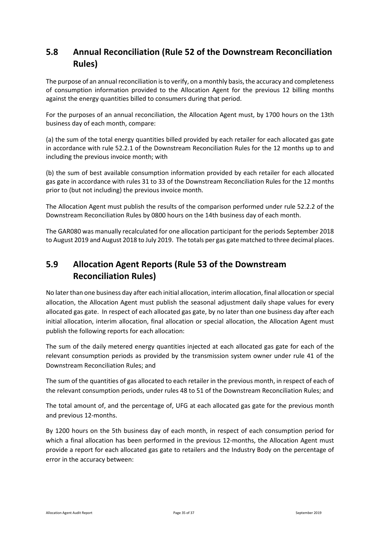### <span id="page-34-0"></span>**5.8 Annual Reconciliation (Rule 52 of the Downstream Reconciliation Rules)**

The purpose of an annual reconciliation is to verify, on a monthly basis, the accuracy and completeness of consumption information provided to the Allocation Agent for the previous 12 billing months against the energy quantities billed to consumers during that period.

For the purposes of an annual reconciliation, the Allocation Agent must, by 1700 hours on the 13th business day of each month, compare:

(a) the sum of the total energy quantities billed provided by each retailer for each allocated gas gate in accordance with rule 52.2.1 of the Downstream Reconciliation Rules for the 12 months up to and including the previous invoice month; with

(b) the sum of best available consumption information provided by each retailer for each allocated gas gate in accordance with rules 31 to 33 of the Downstream Reconciliation Rules for the 12 months prior to (but not including) the previous invoice month.

The Allocation Agent must publish the results of the comparison performed under rule 52.2.2 of the Downstream Reconciliation Rules by 0800 hours on the 14th business day of each month.

The GAR080 was manually recalculated for one allocation participant for the periods September 2018 to August 2019 and August 2018 to July 2019. The totals per gas gate matched to three decimal places.

### <span id="page-34-1"></span>**5.9 Allocation Agent Reports (Rule 53 of the Downstream Reconciliation Rules)**

No later than one business day after each initial allocation, interim allocation, final allocation or special allocation, the Allocation Agent must publish the seasonal adjustment daily shape values for every allocated gas gate. In respect of each allocated gas gate, by no later than one business day after each initial allocation, interim allocation, final allocation or special allocation, the Allocation Agent must publish the following reports for each allocation:

The sum of the daily metered energy quantities injected at each allocated gas gate for each of the relevant consumption periods as provided by the transmission system owner under rule 41 of the Downstream Reconciliation Rules; and

The sum of the quantities of gas allocated to each retailer in the previous month, in respect of each of the relevant consumption periods, under rules 48 to 51 of the Downstream Reconciliation Rules; and

The total amount of, and the percentage of, UFG at each allocated gas gate for the previous month and previous 12-months.

By 1200 hours on the 5th business day of each month, in respect of each consumption period for which a final allocation has been performed in the previous 12-months, the Allocation Agent must provide a report for each allocated gas gate to retailers and the Industry Body on the percentage of error in the accuracy between: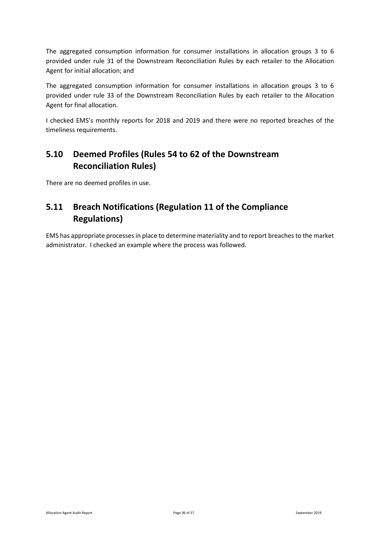The aggregated consumption information for consumer installations in allocation groups 3 to 6 provided under rule 31 of the Downstream Reconciliation Rules by each retailer to the Allocation Agent for initial allocation; and

The aggregated consumption information for consumer installations in allocation groups 3 to 6 provided under rule 33 of the Downstream Reconciliation Rules by each retailer to the Allocation Agent for final allocation.

I checked EMS's monthly reports for 2018 and 2019 and there were no reported breaches of the timeliness requirements.

### <span id="page-35-0"></span>**5.10 Deemed Profiles (Rules 54 to 62 of the Downstream Reconciliation Rules)**

There are no deemed profiles in use.

### <span id="page-35-1"></span>**5.11 Breach Notifications (Regulation 11 of the Compliance Regulations)**

EMS has appropriate processes in place to determine materiality and to report breaches to the market administrator. I checked an example where the process was followed.